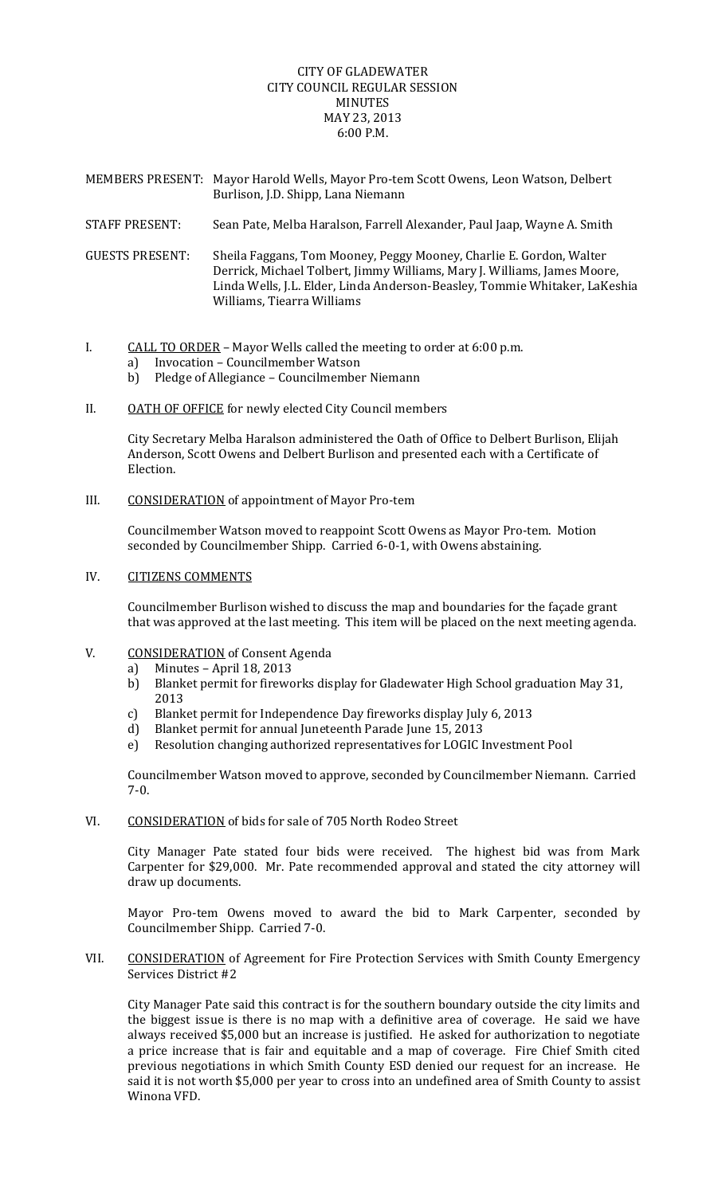# CITY OF GLADEWATER CITY COUNCIL REGULAR SESSION MINUTES MAY 23, 2013 6:00 P.M.

- MEMBERS PRESENT: Mayor Harold Wells, Mayor Pro-tem Scott Owens, Leon Watson, Delbert Burlison, J.D. Shipp, Lana Niemann
- STAFF PRESENT: Sean Pate, Melba Haralson, Farrell Alexander, Paul Jaap, Wayne A. Smith
- GUESTS PRESENT: Sheila Faggans, Tom Mooney, Peggy Mooney, Charlie E. Gordon, Walter Derrick, Michael Tolbert, Jimmy Williams, Mary J. Williams, James Moore, Linda Wells, J.L. Elder, Linda Anderson-Beasley, Tommie Whitaker, LaKeshia Williams, Tiearra Williams
- I. CALL TO ORDER Mayor Wells called the meeting to order at  $6:00$  p.m.
	- a) Invocation Councilmember Watson
	- b) Pledge of Allegiance Councilmember Niemann
- II. OATH OF OFFICE for newly elected City Council members

City Secretary Melba Haralson administered the Oath of Office to Delbert Burlison, Elijah Anderson, Scott Owens and Delbert Burlison and presented each with a Certificate of Election. 

III. CONSIDERATION of appointment of Mayor Pro-tem

Councilmember Watson moved to reappoint Scott Owens as Mayor Pro-tem. Motion seconded by Councilmember Shipp. Carried 6-0-1, with Owens abstaining.

IV. CITIZENS COMMENTS

Councilmember Burlison wished to discuss the map and boundaries for the façade grant that was approved at the last meeting. This item will be placed on the next meeting agenda.

- V. CONSIDERATION of Consent Agenda
	-
	- a) Minutes April 18, 2013<br>b) Blanket permit for firewd Blanket permit for fireworks display for Gladewater High School graduation May 31, 2013
	- c) Blanket permit for Independence Day fireworks display July 6, 2013
	- d) Blanket permit for annual Juneteenth Parade June 15, 2013
	- e) Resolution changing authorized representatives for LOGIC Investment Pool

Councilmember Watson moved to approve, seconded by Councilmember Niemann. Carried 7‐0. 

VI. CONSIDERATION of bids for sale of 705 North Rodeo Street

City Manager Pate stated four bids were received. The highest bid was from Mark Carpenter for \$29,000. Mr. Pate recommended approval and stated the city attorney will draw up documents.

Mayor Pro-tem Owens moved to award the bid to Mark Carpenter, seconded by Councilmember Shipp. Carried 7-0.

VII. CONSIDERATION of Agreement for Fire Protection Services with Smith County Emergency Services District #2

City Manager Pate said this contract is for the southern boundary outside the city limits and the biggest issue is there is no map with a definitive area of coverage. He said we have always received \$5,000 but an increase is justified. He asked for authorization to negotiate a price increase that is fair and equitable and a map of coverage. Fire Chief Smith cited previous negotiations in which Smith County ESD denied our request for an increase. He said it is not worth \$5,000 per year to cross into an undefined area of Smith County to assist Winona VFD.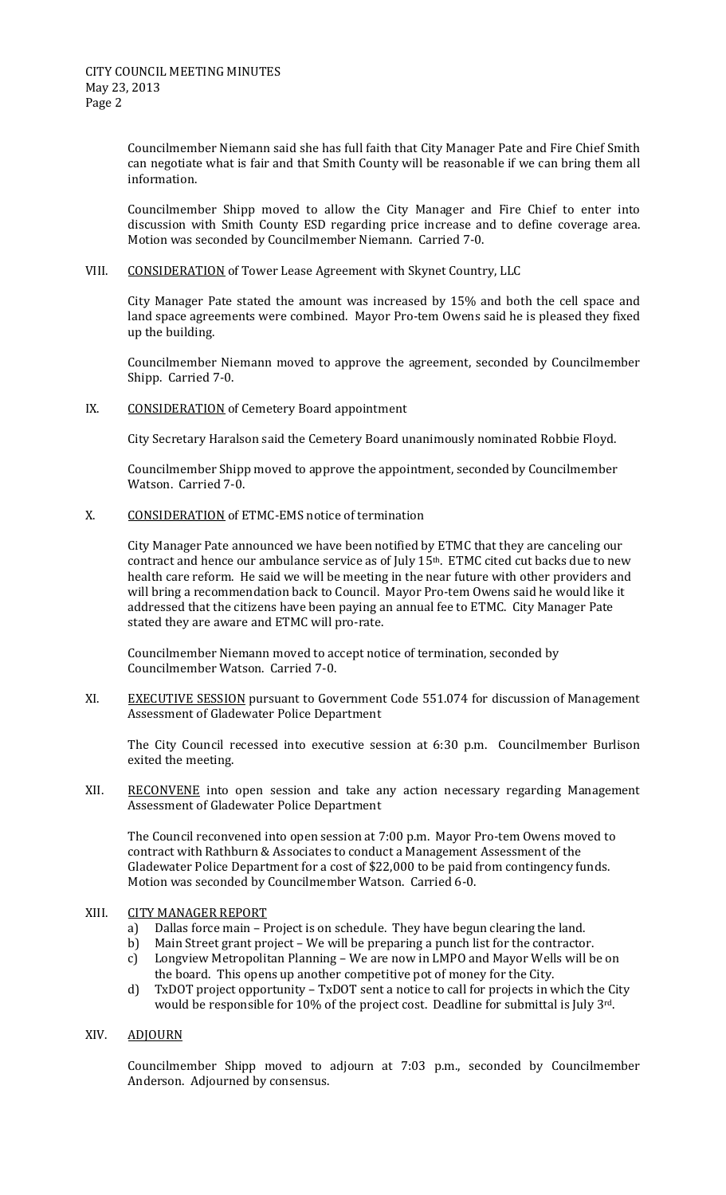Councilmember Niemann said she has full faith that City Manager Pate and Fire Chief Smith can negotiate what is fair and that Smith County will be reasonable if we can bring them all information. 

Councilmember Shipp moved to allow the City Manager and Fire Chief to enter into discussion with Smith County ESD regarding price increase and to define coverage area. Motion was seconded by Councilmember Niemann. Carried 7-0.

VIII. CONSIDERATION of Tower Lease Agreement with Skynet Country, LLC

City Manager Pate stated the amount was increased by 15% and both the cell space and land space agreements were combined. Mayor Pro-tem Owens said he is pleased they fixed up the building.

Councilmember Niemann moved to approve the agreement, seconded by Councilmember Shipp. Carried 7-0.

## IX. CONSIDERATION of Cemetery Board appointment

City Secretary Haralson said the Cemetery Board unanimously nominated Robbie Floyd.

Councilmember Shipp moved to approve the appointment, seconded by Councilmember Watson. Carried 7-0.

#### X. CONSIDERATION of ETMC-EMS notice of termination

City Manager Pate announced we have been notified by ETMC that they are canceling our contract and hence our ambulance service as of July 15<sup>th</sup>. ETMC cited cut backs due to new health care reform. He said we will be meeting in the near future with other providers and will bring a recommendation back to Council. Mayor Pro-tem Owens said he would like it addressed that the citizens have been paying an annual fee to ETMC. City Manager Pate stated they are aware and ETMC will pro-rate.

Councilmember Niemann moved to accept notice of termination, seconded by Councilmember Watson. Carried 7-0.

XI. EXECUTIVE SESSION pursuant to Government Code 551.074 for discussion of Management Assessment of Gladewater Police Department

The City Council recessed into executive session at  $6:30$  p.m. Councilmember Burlison exited the meeting.

XII. RECONVENE into open session and take any action necessary regarding Management Assessment of Gladewater Police Department

The Council reconvened into open session at 7:00 p.m. Mayor Pro-tem Owens moved to contract with Rathburn & Associates to conduct a Management Assessment of the Gladewater Police Department for a cost of \$22,000 to be paid from contingency funds. Motion was seconded by Councilmember Watson. Carried 6-0.

# XIII. CITY MANAGER REPORT

- a) Dallas force main Project is on schedule. They have begun clearing the land.
- b) Main Street grant project We will be preparing a punch list for the contractor.
- c) Longview Metropolitan Planning We are now in LMPO and Mayor Wells will be on the board. This opens up another competitive pot of money for the City.
- d) TxDOT project opportunity TxDOT sent a notice to call for projects in which the City would be responsible for 10% of the project cost. Deadline for submittal is July 3rd.

## XIV. ADJOURN

Councilmember Shipp moved to adjourn at 7:03 p.m., seconded by Councilmember Anderson. Adjourned by consensus.